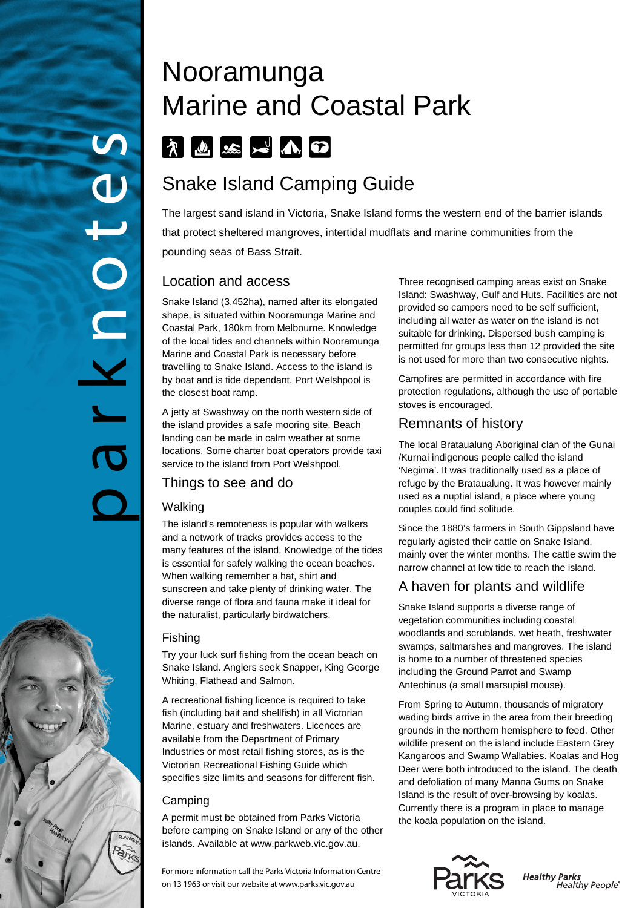# Nooramunga Marine and Coastal Park FILE RAD

# Snake Island Camping Guide

The largest sand island in Victoria, Snake Island forms the western end of the barrier islands that protect sheltered mangroves, intertidal mudflats and marine communities from the pounding seas of Bass Strait.

#### Location and access

Snake Island (3,452ha), named after its elongated shape, is situated within Nooramunga Marine and Coastal Park, 180km from Melbourne. Knowledge of the local tides and channels within Nooramunga Marine and Coastal Park is necessary before travelling to Snake Island. Access to the island is by boat and is tide dependant. Port Welshpool is the closest boat ramp.

A jetty at Swashway on the north western side of the island provides a safe mooring site. Beach landing can be made in calm weather at some locations. Some charter boat operators provide taxi service to the island from Port Welshpool.

# Things to see and do

#### Walking

park notes

 $\overline{C}$ 

The island's remoteness is popular with walkers and a network of tracks provides access to the many features of the island. Knowledge of the tides is essential for safely walking the ocean beaches. When walking remember a hat, shirt and sunscreen and take plenty of drinking water. The diverse range of flora and fauna make it ideal for the naturalist, particularly birdwatchers.

#### Fishing

Try your luck surf fishing from the ocean beach on Snake Island. Anglers seek Snapper, King George Whiting, Flathead and Salmon.

A recreational fishing licence is required to take fish (including bait and shellfish) in all Victorian Marine, estuary and freshwaters. Licences are available from the Department of Primary Industries or most retail fishing stores, as is the Victorian Recreational Fishing Guide which specifies size limits and seasons for different fish.

#### Camping

A permit must be obtained from Parks Victoria before camping on Snake Island or any of the other islands. Available at www.parkweb.vic.gov.au.

For more information call the Parks Victoria Information Centre on 13 1963 or visit our website at www.parks.vic.gov.au

Three recognised camping areas exist on Snake Island: Swashway, Gulf and Huts. Facilities are not provided so campers need to be self sufficient, including all water as water on the island is not suitable for drinking. Dispersed bush camping is permitted for groups less than 12 provided the site is not used for more than two consecutive nights.

Campfires are permitted in accordance with fire protection regulations, although the use of portable stoves is encouraged.

### Remnants of history

The local Brataualung Aboriginal clan of the Gunai /Kurnai indigenous people called the island 'Negima'. It was traditionally used as a place of refuge by the Brataualung. It was however mainly used as a nuptial island, a place where young couples could find solitude.

Since the 1880's farmers in South Gippsland have regularly agisted their cattle on Snake Island, mainly over the winter months. The cattle swim the narrow channel at low tide to reach the island.

# A haven for plants and wildlife

Snake Island supports a diverse range of vegetation communities including coastal woodlands and scrublands, wet heath, freshwater swamps, saltmarshes and mangroves. The island is home to a number of threatened species including the Ground Parrot and Swamp Antechinus (a small marsupial mouse).

From Spring to Autumn, thousands of migratory wading birds arrive in the area from their breeding grounds in the northern hemisphere to feed. Other wildlife present on the island include Eastern Grey Kangaroos and Swamp Wallabies. Koalas and Hog Deer were both introduced to the island. The death and defoliation of many Manna Gums on Snake Island is the result of over-browsing by koalas. Currently there is a program in place to manage the koala population on the island.